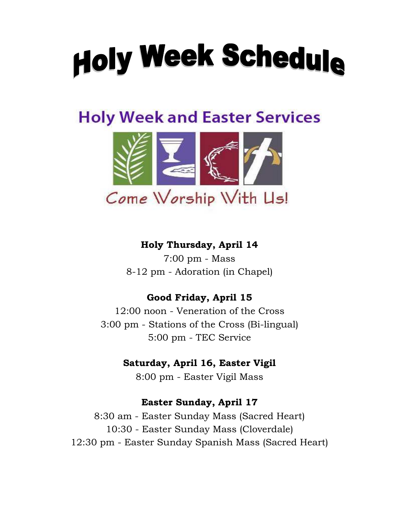# Holy Week Schedule

# **Holy Week and Easter Services**



# **Holy Thursday, April 14**

7:00 pm - Mass 8-12 pm - Adoration (in Chapel)

# **Good Friday, April 15**

12:00 noon - Veneration of the Cross 3:00 pm - Stations of the Cross (Bi-lingual) 5:00 pm - TEC Service

# **Saturday, April 16, Easter Vigil**

8:00 pm - Easter Vigil Mass

# **Easter Sunday, April 17**

8:30 am - Easter Sunday Mass (Sacred Heart) 10:30 - Easter Sunday Mass (Cloverdale) 12:30 pm - Easter Sunday Spanish Mass (Sacred Heart)